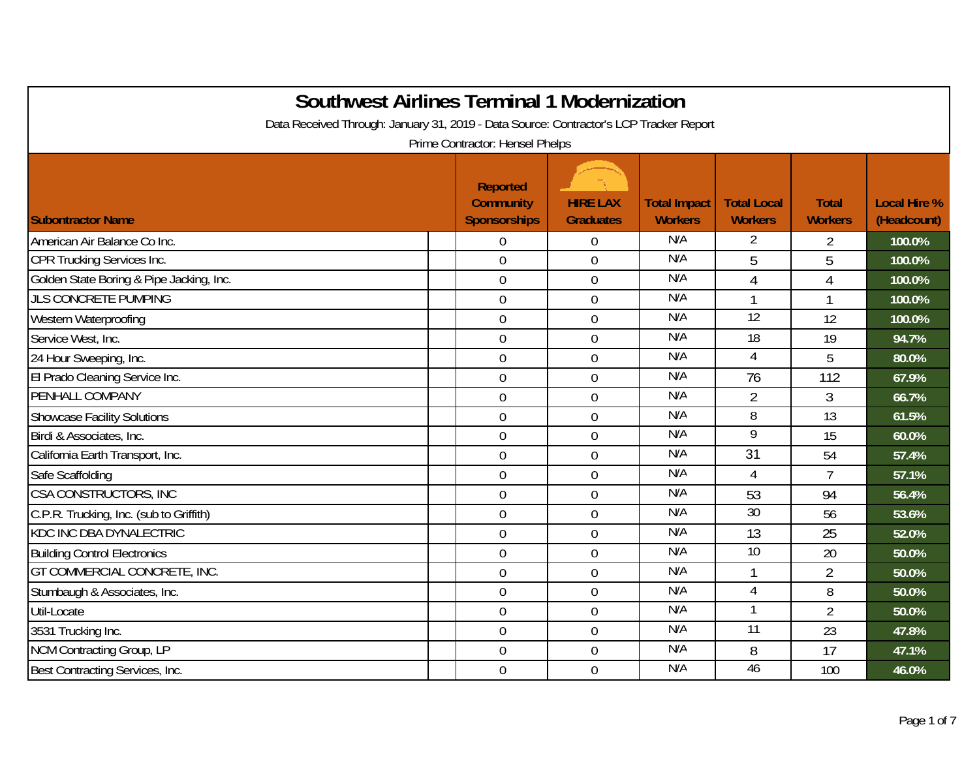| <b>Southwest Airlines Terminal 1 Modernization</b>                                     |                                                            |                                     |                                       |                                      |                                |                                    |  |  |  |
|----------------------------------------------------------------------------------------|------------------------------------------------------------|-------------------------------------|---------------------------------------|--------------------------------------|--------------------------------|------------------------------------|--|--|--|
| Data Received Through: January 31, 2019 - Data Source: Contractor's LCP Tracker Report |                                                            |                                     |                                       |                                      |                                |                                    |  |  |  |
| Prime Contractor: Hensel Phelps                                                        |                                                            |                                     |                                       |                                      |                                |                                    |  |  |  |
| <b>Subontractor Name</b>                                                               | <b>Reported</b><br><b>Community</b><br><b>Sponsorships</b> | <b>HIRE LAX</b><br><b>Graduates</b> | <b>Total Impact</b><br><b>Workers</b> | <b>Total Local</b><br><b>Workers</b> | <b>Total</b><br><b>Workers</b> | <b>Local Hire %</b><br>(Headcount) |  |  |  |
| American Air Balance Co Inc.                                                           | $\mathbf 0$                                                | $\overline{0}$                      | N/A                                   | 2                                    | $\overline{2}$                 | 100.0%                             |  |  |  |
| CPR Trucking Services Inc.                                                             | $\mathbf 0$                                                | $\mathbf 0$                         | N/A                                   | 5                                    | 5                              | 100.0%                             |  |  |  |
| Golden State Boring & Pipe Jacking, Inc.                                               | $\mathbf 0$                                                | $\mathbf 0$                         | N/A                                   | $\overline{4}$                       | $\overline{4}$                 | 100.0%                             |  |  |  |
| <b>JLS CONCRETE PUMPING</b>                                                            | $\overline{0}$                                             | $\overline{0}$                      | N/A                                   | 1                                    | $\mathbf{1}$                   | 100.0%                             |  |  |  |
| Western Waterproofing                                                                  | $\mathbf 0$                                                | $\overline{0}$                      | N/A                                   | $\overline{12}$                      | 12                             | 100.0%                             |  |  |  |
| Service West, Inc.                                                                     | $\mathbf 0$                                                | $\overline{0}$                      | N/A                                   | 18                                   | 19                             | 94.7%                              |  |  |  |
| 24 Hour Sweeping, Inc.                                                                 | $\boldsymbol{0}$                                           | $\overline{0}$                      | N/A                                   | 4                                    | 5                              | 80.0%                              |  |  |  |
| El Prado Cleaning Service Inc.                                                         | $\mathbf 0$                                                | $\mathbf 0$                         | N/A                                   | 76                                   | 112                            | 67.9%                              |  |  |  |
| PENHALL COMPANY                                                                        | $\boldsymbol{0}$                                           | $\mathbf 0$                         | N/A                                   | $\overline{2}$                       | 3                              | 66.7%                              |  |  |  |
| <b>Showcase Facility Solutions</b>                                                     | $\mathbf 0$                                                | $\mathbf 0$                         | N/A                                   | 8                                    | 13                             | 61.5%                              |  |  |  |
| Birdi & Associates, Inc.                                                               | $\mathbf 0$                                                | $\mathbf 0$                         | N/A                                   | $\overline{9}$                       | 15                             | 60.0%                              |  |  |  |
| California Earth Transport, Inc.                                                       | $\boldsymbol{0}$                                           | $\mathbf 0$                         | N/A                                   | 31                                   | 54                             | 57.4%                              |  |  |  |
| Safe Scaffolding                                                                       | $\overline{0}$                                             | $\overline{0}$                      | N/A                                   | $\overline{4}$                       | $\overline{7}$                 | 57.1%                              |  |  |  |
| CSA CONSTRUCTORS, INC                                                                  | $\mathbf 0$                                                | $\Omega$                            | N/A                                   | 53                                   | 94                             | 56.4%                              |  |  |  |
| C.P.R. Trucking, Inc. (sub to Griffith)                                                | $\mathbf 0$                                                | $\mathbf 0$                         | N/A                                   | 30                                   | 56                             | 53.6%                              |  |  |  |
| <b>KDC INC DBA DYNALECTRIC</b>                                                         | $\boldsymbol{0}$                                           | $\mathbf 0$                         | N/A                                   | 13                                   | 25                             | 52.0%                              |  |  |  |
| <b>Building Control Electronics</b>                                                    | $\overline{0}$                                             | $\overline{0}$                      | N/A                                   | 10                                   | 20                             | 50.0%                              |  |  |  |
| <b>GT COMMERCIAL CONCRETE, INC.</b>                                                    | $\mathbf 0$                                                | $\overline{0}$                      | N/A                                   | $\mathbf{1}$                         | $\overline{2}$                 | 50.0%                              |  |  |  |
| Stumbaugh & Associates, Inc.                                                           | $\mathbf 0$                                                | $\overline{0}$                      | N/A                                   | 4                                    | 8                              | 50.0%                              |  |  |  |
| Util-Locate                                                                            | $\mathbf 0$                                                | $\overline{0}$                      | N/A                                   | $\mathbf{1}$                         | $\overline{2}$                 | 50.0%                              |  |  |  |
| 3531 Trucking Inc.                                                                     | $\mathbf 0$                                                | $\overline{0}$                      | N/A                                   | $\overline{11}$                      | 23                             | 47.8%                              |  |  |  |
| NCM Contracting Group, LP                                                              | $\overline{0}$                                             | $\overline{0}$                      | N/A                                   | 8                                    | 17                             | 47.1%                              |  |  |  |
| Best Contracting Services, Inc.                                                        | $\overline{0}$                                             | $\overline{0}$                      | N/A                                   | 46                                   | 100                            | 46.0%                              |  |  |  |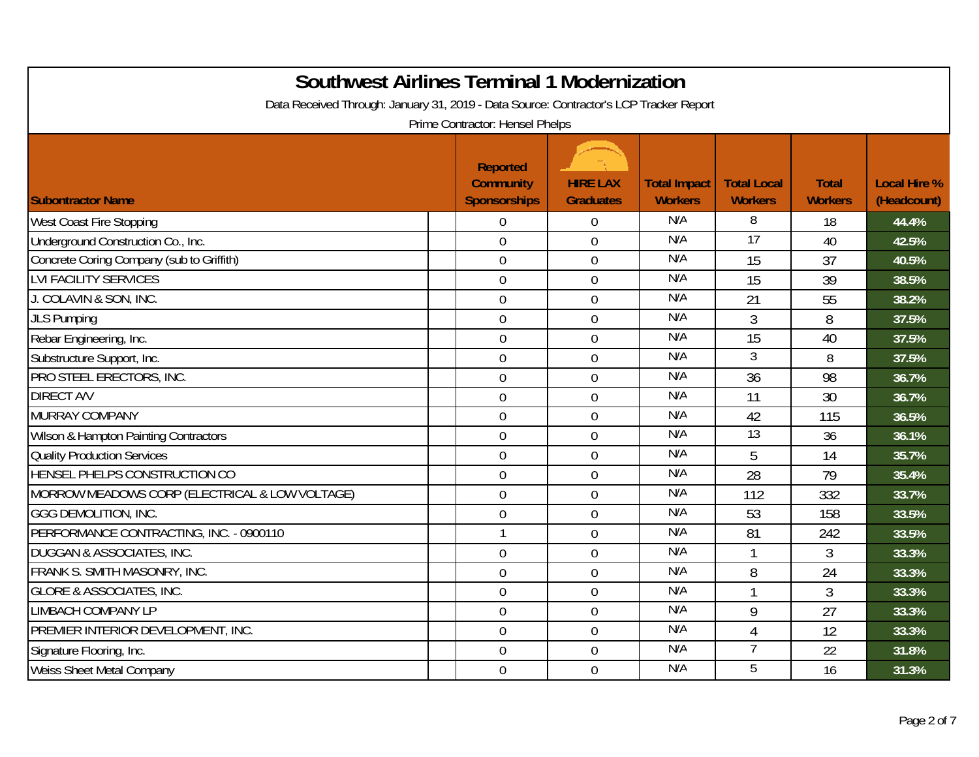| <b>Southwest Airlines Terminal 1 Modernization</b>                                     |                                                            |                                     |                                       |                                      |                                |                                    |
|----------------------------------------------------------------------------------------|------------------------------------------------------------|-------------------------------------|---------------------------------------|--------------------------------------|--------------------------------|------------------------------------|
| Data Received Through: January 31, 2019 - Data Source: Contractor's LCP Tracker Report | Prime Contractor: Hensel Phelps                            |                                     |                                       |                                      |                                |                                    |
| <b>Subontractor Name</b>                                                               | <b>Reported</b><br><b>Community</b><br><b>Sponsorships</b> | <b>HIRE LAX</b><br><b>Graduates</b> | <b>Total Impact</b><br><b>Workers</b> | <b>Total Local</b><br><b>Workers</b> | <b>Total</b><br><b>Workers</b> | <b>Local Hire %</b><br>(Headcount) |
| <b>West Coast Fire Stopping</b>                                                        | $\mathbf 0$                                                | $\Omega$                            | N/A                                   | 8                                    | 18                             | 44.4%                              |
| Underground Construction Co., Inc.                                                     | $\mathbf 0$                                                | $\overline{0}$                      | N/A                                   | $\overline{17}$                      | 40                             | 42.5%                              |
| Concrete Coring Company (sub to Griffith)                                              | $\overline{0}$                                             | $\overline{0}$                      | N/A                                   | 15                                   | 37                             | 40.5%                              |
| <b>LVI FACILITY SERVICES</b>                                                           | $\boldsymbol{0}$                                           | $\mathbf 0$                         | N/A                                   | 15                                   | 39                             | 38.5%                              |
| J. COLAVIN & SON, INC.                                                                 | $\mathbf 0$                                                | $\overline{0}$                      | N/A                                   | 21                                   | 55                             | 38.2%                              |
| <b>JLS Pumping</b>                                                                     | $\overline{0}$                                             | $\overline{0}$                      | N/A                                   | $\mathfrak{Z}$                       | 8                              | 37.5%                              |
| Rebar Engineering, Inc.                                                                | $\mathbf 0$                                                | $\overline{0}$                      | N/A                                   | 15                                   | 40                             | 37.5%                              |
| Substructure Support, Inc.                                                             | $\mathbf 0$                                                | $\Omega$                            | N/A                                   | 3                                    | 8                              | 37.5%                              |
| PRO STEEL ERECTORS, INC.                                                               | $\mathbf 0$                                                | $\overline{0}$                      | N/A                                   | 36                                   | 98                             | 36.7%                              |
| <b>DIRECT A/V</b>                                                                      | $\boldsymbol{0}$                                           | $\mathbf 0$                         | N/A                                   | 11                                   | 30                             | 36.7%                              |
| <b>MURRAY COMPANY</b>                                                                  | $\mathbf 0$                                                | $\overline{0}$                      | N/A                                   | 42                                   | 115                            | 36.5%                              |
| Wilson & Hampton Painting Contractors                                                  | $\overline{0}$                                             | $\Omega$                            | N/A                                   | $\overline{13}$                      | 36                             | 36.1%                              |
| <b>Quality Production Services</b>                                                     | $\mathbf 0$                                                | $\overline{0}$                      | N/A                                   | 5                                    | 14                             | 35.7%                              |
| HENSEL PHELPS CONSTRUCTION CO                                                          | $\overline{0}$                                             | $\Omega$                            | N/A                                   | 28                                   | 79                             | 35.4%                              |
| MORROW MEADOWS CORP (ELECTRICAL & LOW VOLTAGE)                                         | $\boldsymbol{0}$                                           | $\overline{0}$                      | N/A                                   | 112                                  | 332                            | 33.7%                              |
| <b>GGG DEMOLITION, INC.</b>                                                            | $\boldsymbol{0}$                                           | $\overline{0}$                      | N/A                                   | 53                                   | 158                            | 33.5%                              |
| PERFORMANCE CONTRACTING, INC. - 0900110                                                | $\mathbf{1}$                                               | $\overline{0}$                      | N/A                                   | 81                                   | 242                            | 33.5%                              |
| <b>DUGGAN &amp; ASSOCIATES, INC.</b>                                                   | $\boldsymbol{0}$                                           | $\overline{0}$                      | N/A                                   |                                      | 3                              | 33.3%                              |
| FRANK S. SMITH MASONRY, INC.                                                           | $\mathbf 0$                                                | $\overline{0}$                      | N/A                                   | 8                                    | 24                             | 33.3%                              |
| <b>GLORE &amp; ASSOCIATES, INC.</b>                                                    | $\overline{0}$                                             | $\overline{0}$                      | N/A                                   | $\mathbf{1}$                         | 3                              | 33.3%                              |
| <b>LIMBACH COMPANY LP</b>                                                              | $\boldsymbol{0}$                                           | $\mathbf 0$                         | N/A                                   | 9                                    | 27                             | 33.3%                              |
| PREMIER INTERIOR DEVELOPMENT, INC.                                                     | $\overline{0}$                                             | $\overline{0}$                      | N/A                                   | $\overline{4}$                       | 12                             | 33.3%                              |
| Signature Flooring, Inc.                                                               | $\mathbf 0$                                                | $\overline{0}$                      | N/A                                   | $\overline{7}$                       | 22                             | 31.8%                              |
| <b>Weiss Sheet Metal Company</b>                                                       | $\mathbf 0$                                                | $\overline{0}$                      | N/A                                   | 5                                    | 16                             | 31.3%                              |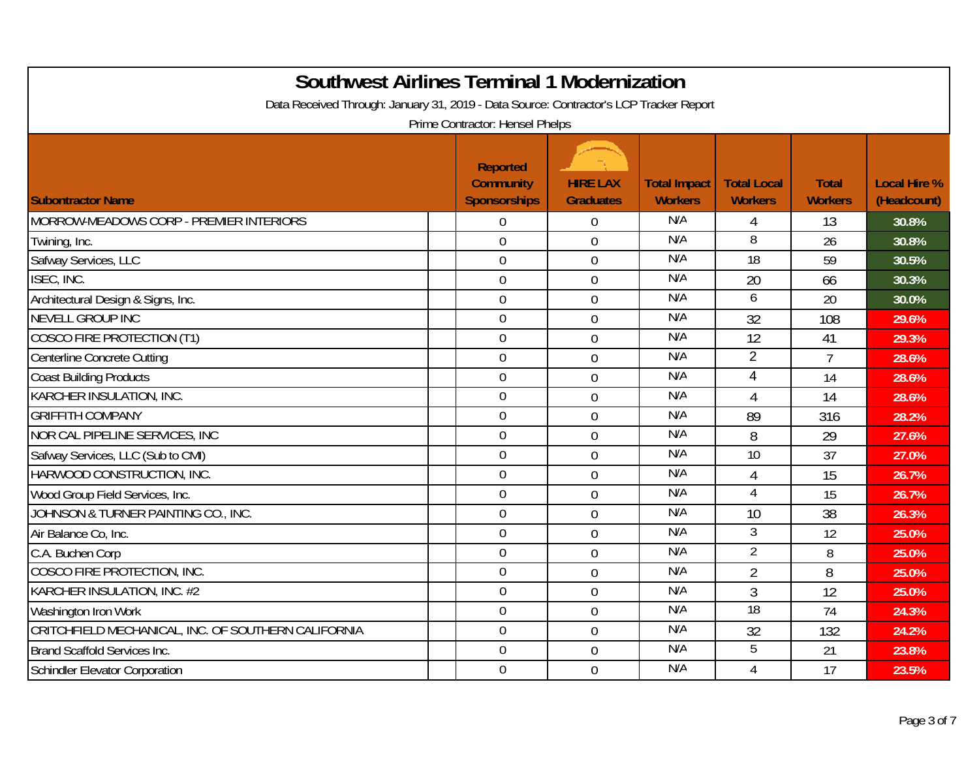| <b>Southwest Airlines Terminal 1 Modernization</b>                                     |                                     |                  |                     |                    |                |                     |
|----------------------------------------------------------------------------------------|-------------------------------------|------------------|---------------------|--------------------|----------------|---------------------|
| Data Received Through: January 31, 2019 - Data Source: Contractor's LCP Tracker Report |                                     |                  |                     |                    |                |                     |
|                                                                                        | Prime Contractor: Hensel Phelps     |                  |                     |                    |                |                     |
|                                                                                        | <b>Reported</b><br><b>Community</b> | <b>HIRE LAX</b>  | <b>Total Impact</b> | <b>Total Local</b> | <b>Total</b>   | <b>Local Hire %</b> |
| <b>Subontractor Name</b>                                                               | <b>Sponsorships</b>                 | <b>Graduates</b> | <b>Workers</b>      | <b>Workers</b>     | <b>Workers</b> | (Headcount)         |
| MORROW-MEADOWS CORP - PREMIER INTERIORS                                                | $\overline{0}$                      | $\overline{0}$   | N/A                 | 4                  | 13             | 30.8%               |
| Twining, Inc.                                                                          | $\mathbf 0$                         | $\overline{0}$   | N/A                 | 8                  | 26             | 30.8%               |
| Safway Services, LLC                                                                   | $\overline{0}$                      | $\overline{0}$   | N/A                 | 18                 | 59             | 30.5%               |
| ISEC, INC.                                                                             | $\boldsymbol{0}$                    | $\overline{0}$   | N/A                 | 20                 | 66             | 30.3%               |
| Architectural Design & Signs, Inc.                                                     | $\boldsymbol{0}$                    | $\mathbf 0$      | N/A                 | 6                  | 20             | 30.0%               |
| <b>NEVELL GROUP INC</b>                                                                | $\overline{0}$                      | $\overline{0}$   | N/A                 | 32                 | 108            | 29.6%               |
| <b>COSCO FIRE PROTECTION (T1)</b>                                                      | $\boldsymbol{0}$                    | $\overline{0}$   | N/A                 | 12                 | 41             | 29.3%               |
| Centerline Concrete Cutting                                                            | $\mathbf 0$                         | $\overline{0}$   | N/A                 | $\overline{2}$     | $\overline{7}$ | 28.6%               |
| <b>Coast Building Products</b>                                                         | $\overline{0}$                      | $\overline{0}$   | N/A                 | 4                  | 14             | 28.6%               |
| KARCHER INSULATION, INC.                                                               | $\mathbf 0$                         | $\mathbf 0$      | N/A                 | $\overline{4}$     | 14             | 28.6%               |
| <b>GRIFFITH COMPANY</b>                                                                | $\overline{0}$                      | $\mathbf 0$      | N/A                 | 89                 | 316            | 28.2%               |
| NOR CAL PIPELINE SERVICES, INC                                                         | $\overline{0}$                      | $\overline{0}$   | N/A                 | 8                  | 29             | 27.6%               |
| Safway Services, LLC (Sub to CMI)                                                      | $\mathbf 0$                         | $\overline{0}$   | N/A                 | 10                 | 37             | 27.0%               |
| HARWOOD CONSTRUCTION, INC.                                                             | $\overline{0}$                      | $\overline{0}$   | N/A                 | $\overline{4}$     | 15             | 26.7%               |
| Wood Group Field Services, Inc.                                                        | $\mathbf 0$                         | 0                | N/A                 | $\overline{4}$     | 15             | 26.7%               |
| JOHNSON & TURNER PAINTING CO., INC.                                                    | $\mathbf 0$                         | $\overline{0}$   | N/A                 | 10                 | 38             | 26.3%               |
| Air Balance Co, Inc.                                                                   | $\overline{0}$                      | $\overline{0}$   | N/A                 | 3                  | 12             | 25.0%               |
| C.A. Buchen Corp                                                                       | $\mathbf 0$                         | $\overline{0}$   | N/A                 | $\overline{2}$     | 8              | 25.0%               |
| COSCO FIRE PROTECTION, INC.                                                            | $\mathbf 0$                         | $\overline{0}$   | N/A                 | $\overline{2}$     | 8              | 25.0%               |
| KARCHER INSULATION, INC. #2                                                            | $\mathbf 0$                         | $\overline{0}$   | N/A                 | 3                  | 12             | 25.0%               |
| Washington Iron Work                                                                   | $\boldsymbol{0}$                    | $\mathbf 0$      | N/A                 | 18                 | 74             | 24.3%               |
| CRITCHFIELD MECHANICAL, INC. OF SOUTHERN CALIFORNIA                                    | $\mathbf 0$                         | $\mathbf 0$      | N/A                 | 32                 | 132            | 24.2%               |
| Brand Scaffold Services Inc.                                                           | $\mathbf 0$                         | $\overline{0}$   | N/A                 | 5                  | 21             | 23.8%               |
| Schindler Elevator Corporation                                                         | $\mathbf 0$                         | $\overline{0}$   | N/A                 | $\overline{4}$     | 17             | 23.5%               |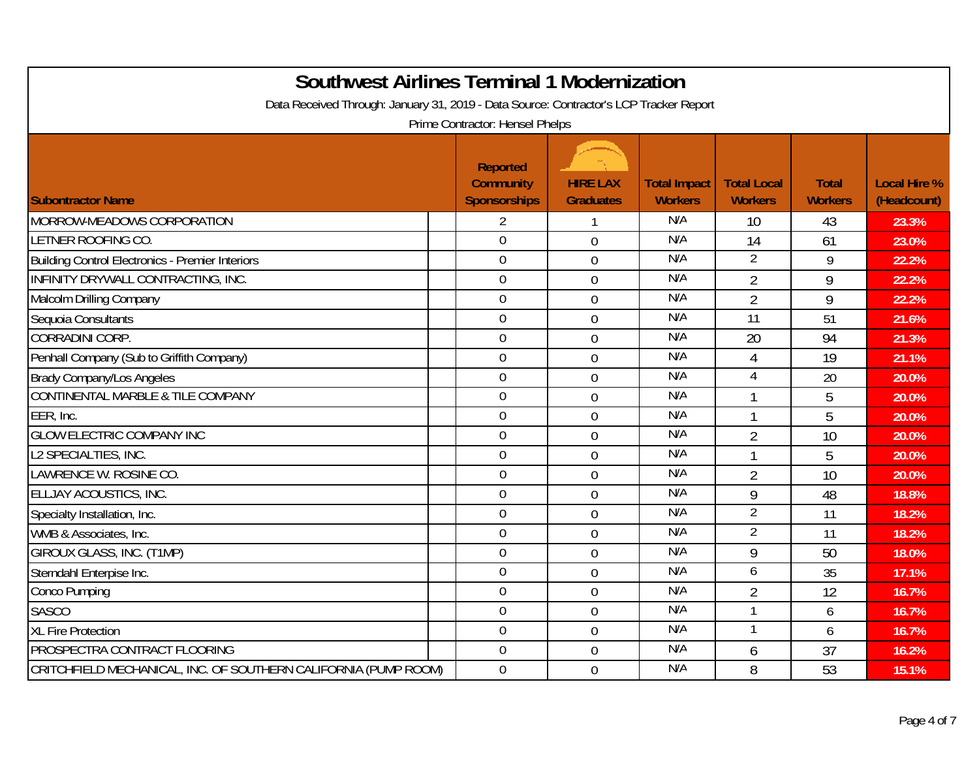| <b>Southwest Airlines Terminal 1 Modernization</b><br>Data Received Through: January 31, 2019 - Data Source: Contractor's LCP Tracker Report |                                                                                               |                                     |                                       |                                      |                                |                                    |  |  |
|----------------------------------------------------------------------------------------------------------------------------------------------|-----------------------------------------------------------------------------------------------|-------------------------------------|---------------------------------------|--------------------------------------|--------------------------------|------------------------------------|--|--|
| <b>Subontractor Name</b>                                                                                                                     | Prime Contractor: Hensel Phelps<br><b>Reported</b><br><b>Community</b><br><b>Sponsorships</b> | <b>HIRE LAX</b><br><b>Graduates</b> | <b>Total Impact</b><br><b>Workers</b> | <b>Total Local</b><br><b>Workers</b> | <b>Total</b><br><b>Workers</b> | <b>Local Hire %</b><br>(Headcount) |  |  |
| MORROW-MEADOWS CORPORATION                                                                                                                   | 2                                                                                             |                                     | N/A                                   | 10                                   | 43                             | 23.3%                              |  |  |
| LETNER ROOFING CO.                                                                                                                           | $\overline{0}$                                                                                | $\overline{0}$                      | N/A                                   | 14                                   | 61                             | 23.0%                              |  |  |
| <b>Building Control Electronics - Premier Interiors</b>                                                                                      | $\mathbf 0$                                                                                   | $\overline{0}$                      | N/A                                   | $\overline{2}$                       | 9                              | 22.2%                              |  |  |
| <b>INFINITY DRYWALL CONTRACTING, INC.</b>                                                                                                    | $\overline{0}$                                                                                | $\overline{0}$                      | N/A                                   | $\overline{2}$                       | 9                              | 22.2%                              |  |  |
| Malcolm Drilling Company                                                                                                                     | $\overline{0}$                                                                                | $\overline{0}$                      | N/A                                   | $\overline{2}$                       | 9                              | 22.2%                              |  |  |
| Sequoia Consultants                                                                                                                          | $\mathbf 0$                                                                                   | $\overline{0}$                      | N/A                                   | 11                                   | 51                             | 21.6%                              |  |  |
| <b>CORRADINI CORP.</b>                                                                                                                       | $\overline{0}$                                                                                | $\overline{0}$                      | N/A                                   | 20                                   | 94                             | 21.3%                              |  |  |
| Penhall Company (Sub to Griffith Company)                                                                                                    | $\mathbf 0$                                                                                   | $\overline{0}$                      | N/A                                   | $\overline{4}$                       | 19                             | 21.1%                              |  |  |
| <b>Brady Company/Los Angeles</b>                                                                                                             | $\mathbf 0$                                                                                   | $\mathbf 0$                         | N/A                                   | $\overline{4}$                       | 20                             | 20.0%                              |  |  |
| CONTINENTAL MARBLE & TILE COMPANY                                                                                                            | $\boldsymbol{0}$                                                                              | $\mathbf 0$                         | N/A                                   | $\mathbf{1}$                         | 5                              | 20.0%                              |  |  |
| EER, Inc.                                                                                                                                    | $\mathbf 0$                                                                                   | $\overline{0}$                      | N/A                                   | $\mathbf{1}$                         | 5                              | 20.0%                              |  |  |
| <b>GLOW ELECTRIC COMPANY INC</b>                                                                                                             | $\overline{0}$                                                                                | $\mathbf 0$                         | N/A                                   | $\overline{2}$                       | 10                             | 20.0%                              |  |  |
| L2 SPECIALTIES, INC.                                                                                                                         | $\mathbf 0$                                                                                   | $\overline{0}$                      | N/A                                   | $\mathbf{1}$                         | 5                              | 20.0%                              |  |  |
| LAWRENCE W. ROSINE CO.                                                                                                                       | $\overline{0}$                                                                                | $\overline{0}$                      | N/A                                   | $\overline{2}$                       | 10                             | 20.0%                              |  |  |
| ELLJAY ACOUSTICS, INC.                                                                                                                       | $\boldsymbol{0}$                                                                              | $\mathbf 0$                         | N/A                                   | 9                                    | 48                             | 18.8%                              |  |  |
| Specialty Installation, Inc.                                                                                                                 | $\mathbf 0$                                                                                   | $\overline{0}$                      | N/A                                   | $\overline{2}$                       | 11                             | 18.2%                              |  |  |
| WMB & Associates, Inc.                                                                                                                       | $\overline{0}$                                                                                | $\overline{0}$                      | N/A                                   | $\overline{2}$                       | 11                             | 18.2%                              |  |  |
| GIROUX GLASS, INC. (T1MP)                                                                                                                    | $\mathbf 0$                                                                                   | $\overline{0}$                      | N/A                                   | 9                                    | 50                             | 18.0%                              |  |  |
| Sterndahl Enterpise Inc.                                                                                                                     | $\overline{0}$                                                                                | $\mathbf 0$                         | N/A                                   | 6                                    | 35                             | 17.1%                              |  |  |
| Conco Pumping                                                                                                                                | $\mathbf 0$                                                                                   | $\mathbf 0$                         | N/A                                   | $\overline{2}$                       | 12                             | 16.7%                              |  |  |
| <b>SASCO</b>                                                                                                                                 | $\mathbf 0$                                                                                   | $\overline{0}$                      | N/A                                   | $\mathbf{1}$                         | 6                              | 16.7%                              |  |  |
| <b>XL Fire Protection</b>                                                                                                                    | $\mathbf 0$                                                                                   | $\overline{0}$                      | N/A                                   | $\mathbf{1}$                         | 6                              | 16.7%                              |  |  |
| PROSPECTRA CONTRACT FLOORING                                                                                                                 | $\mathbf 0$                                                                                   | $\overline{0}$                      | N/A                                   | 6                                    | 37                             | 16.2%                              |  |  |
| CRITCHFIELD MECHANICAL, INC. OF SOUTHERN CALIFORNIA (PUMP ROOM)                                                                              | $\mathbf 0$                                                                                   | $\overline{0}$                      | N/A                                   | 8                                    | 53                             | 15.1%                              |  |  |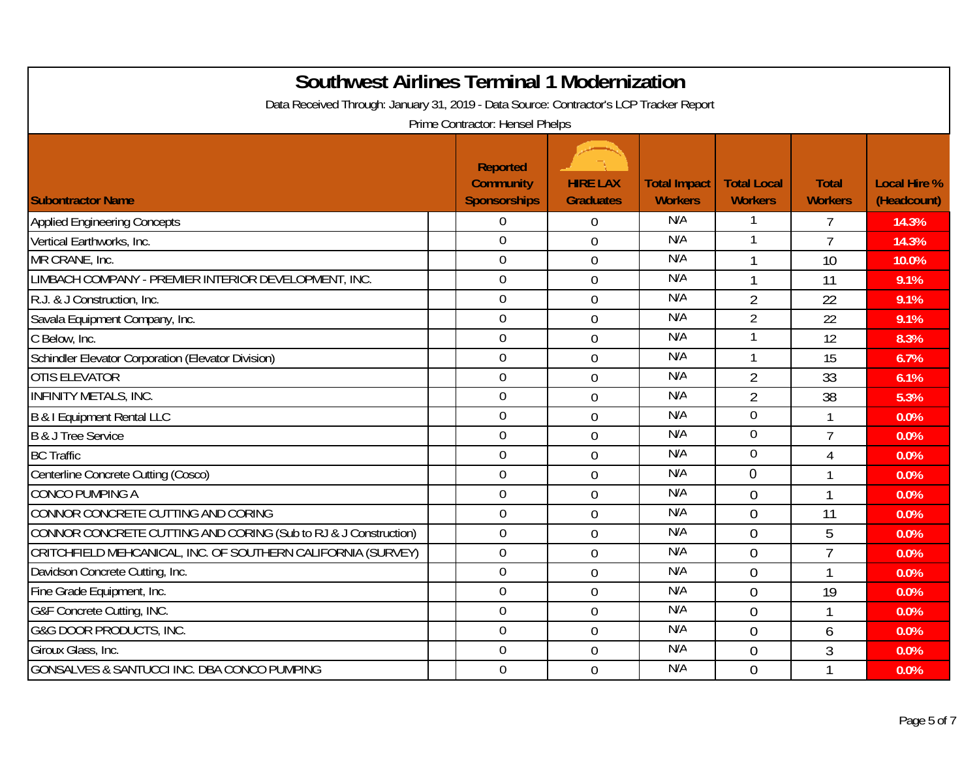| <b>Southwest Airlines Terminal 1 Modernization</b>                                                                        |                                         |                                     |                                       |                                      |                                |                                    |  |  |
|---------------------------------------------------------------------------------------------------------------------------|-----------------------------------------|-------------------------------------|---------------------------------------|--------------------------------------|--------------------------------|------------------------------------|--|--|
| Data Received Through: January 31, 2019 - Data Source: Contractor's LCP Tracker Report<br>Prime Contractor: Hensel Phelps |                                         |                                     |                                       |                                      |                                |                                    |  |  |
|                                                                                                                           | <b>Reported</b>                         |                                     |                                       |                                      |                                |                                    |  |  |
| <b>Subontractor Name</b>                                                                                                  | <b>Community</b><br><b>Sponsorships</b> | <b>HIRE LAX</b><br><b>Graduates</b> | <b>Total Impact</b><br><b>Workers</b> | <b>Total Local</b><br><b>Workers</b> | <b>Total</b><br><b>Workers</b> | <b>Local Hire %</b><br>(Headcount) |  |  |
| <b>Applied Engineering Concepts</b>                                                                                       | $\overline{0}$                          | $\overline{0}$                      | N/A                                   | 1                                    | $\overline{7}$                 | 14.3%                              |  |  |
| Vertical Earthworks, Inc.                                                                                                 | $\overline{0}$                          | $\overline{0}$                      | N/A                                   | 1                                    | $\overline{7}$                 | 14.3%                              |  |  |
| MR CRANE, Inc.                                                                                                            | $\overline{0}$                          | 0                                   | N/A                                   | $\mathbf{1}$                         | 10                             | 10.0%                              |  |  |
| LIMBACH COMPANY - PREMIER INTERIOR DEVELOPMENT, INC.                                                                      | $\mathbf 0$                             | $\overline{0}$                      | N/A                                   | 1                                    | 11                             | 9.1%                               |  |  |
| R.J. & J Construction, Inc.                                                                                               | $\boldsymbol{0}$                        | $\mathbf 0$                         | N/A                                   | $\overline{2}$                       | 22                             | 9.1%                               |  |  |
| Savala Equipment Company, Inc.                                                                                            | $\overline{0}$                          | $\overline{0}$                      | N/A                                   | $\overline{2}$                       | 22                             | 9.1%                               |  |  |
| C Below, Inc.                                                                                                             | $\boldsymbol{0}$                        | $\overline{0}$                      | N/A                                   | $\mathbf{1}$                         | 12                             | 8.3%                               |  |  |
| Schindler Elevator Corporation (Elevator Division)                                                                        | $\overline{0}$                          | $\overline{0}$                      | N/A                                   | $\mathbf{1}$                         | 15                             | 6.7%                               |  |  |
| <b>OTIS ELEVATOR</b>                                                                                                      | $\overline{0}$                          | $\overline{0}$                      | N/A                                   | $\overline{2}$                       | 33                             | 6.1%                               |  |  |
| <b>INFINITY METALS, INC.</b>                                                                                              | $\mathbf 0$                             | $\mathbf 0$                         | N/A                                   | $\overline{2}$                       | 38                             | 5.3%                               |  |  |
| B & I Equipment Rental LLC                                                                                                | $\mathbf 0$                             | $\overline{0}$                      | N/A                                   | $\mathbf 0$                          | 1                              | 0.0%                               |  |  |
| B & J Tree Service                                                                                                        | $\overline{0}$                          | $\overline{0}$                      | N/A                                   | $\overline{0}$                       | $\overline{7}$                 | 0.0%                               |  |  |
| <b>BC</b> Traffic                                                                                                         | $\mathbf 0$                             | 0                                   | N/A                                   | $\mathbf 0$                          | 4                              | 0.0%                               |  |  |
| Centerline Concrete Cutting (Cosco)                                                                                       | $\overline{0}$                          | 0                                   | N/A                                   | $\Omega$                             | 1                              | 0.0%                               |  |  |
| <b>CONCO PUMPING A</b>                                                                                                    | $\mathbf 0$                             | 0                                   | N/A                                   | $\theta$                             | $\overline{1}$                 | 0.0%                               |  |  |
| CONNOR CONCRETE CUTTING AND CORING                                                                                        | $\mathbf 0$                             | 0                                   | N/A                                   | $\overline{0}$                       | 11                             | 0.0%                               |  |  |
| CONNOR CONCRETE CUTTING AND CORING (Sub to RJ & J Construction)                                                           | $\overline{0}$                          | $\overline{0}$                      | N/A                                   | $\Omega$                             | 5                              | 0.0%                               |  |  |
| CRITCHFIELD MEHCANICAL, INC. OF SOUTHERN CALIFORNIA (SURVEY)                                                              | $\mathbf 0$                             | $\overline{0}$                      | N/A                                   | $\theta$                             | $\overline{7}$                 | 0.0%                               |  |  |
| Davidson Concrete Cutting, Inc.                                                                                           | $\overline{0}$                          | $\overline{0}$                      | N/A                                   | $\theta$                             | 1                              | 0.0%                               |  |  |
| Fine Grade Equipment, Inc.                                                                                                | $\overline{0}$                          | $\overline{0}$                      | N/A                                   | $\overline{0}$                       | 19                             | 0.0%                               |  |  |
| G&F Concrete Cutting, INC.                                                                                                | $\mathbf 0$                             | $\overline{0}$                      | N/A                                   | $\overline{0}$                       | $\mathbf{1}$                   | 0.0%                               |  |  |
| <b>G&amp;G DOOR PRODUCTS, INC.</b>                                                                                        | $\mathbf 0$                             | $\mathbf 0$                         | N/A                                   | $\overline{0}$                       | 6                              | 0.0%                               |  |  |
| Giroux Glass, Inc.                                                                                                        | $\mathbf 0$                             | 0                                   | N/A                                   | $\overline{0}$                       | 3                              | 0.0%                               |  |  |
| <b>GONSALVES &amp; SANTUCCI INC. DBA CONCO PUMPING</b>                                                                    | $\mathbf 0$                             | $\overline{0}$                      | N/A                                   | $\overline{0}$                       |                                | 0.0%                               |  |  |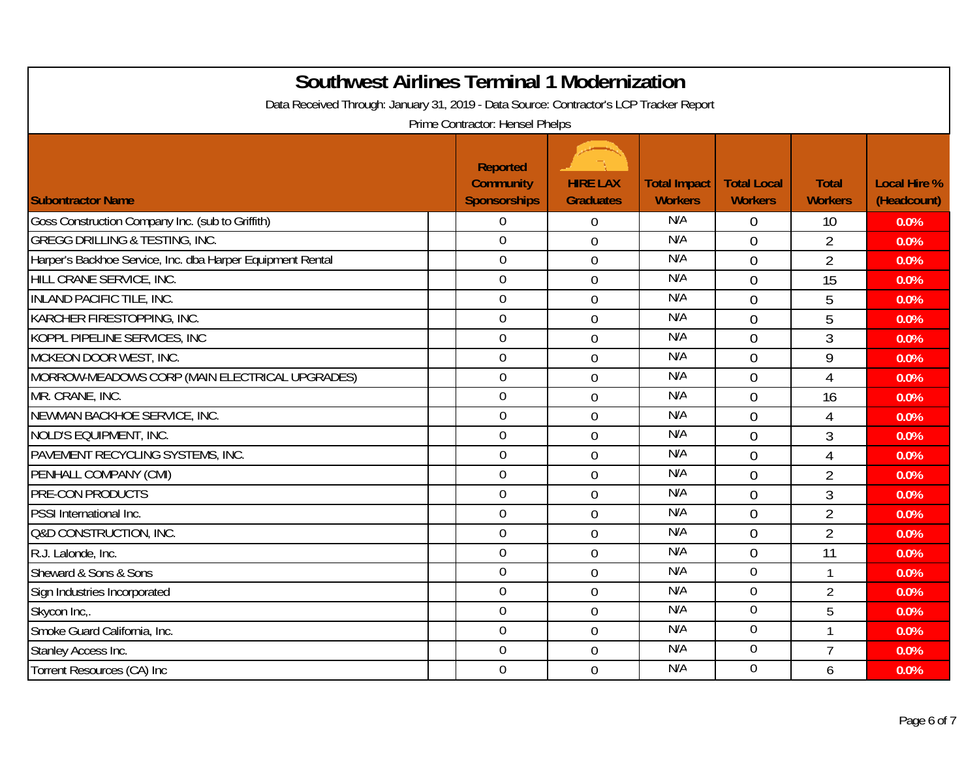| <b>Southwest Airlines Terminal 1 Modernization</b>                                     |                                                            |                                     |                                       |                                      |                                |                                    |
|----------------------------------------------------------------------------------------|------------------------------------------------------------|-------------------------------------|---------------------------------------|--------------------------------------|--------------------------------|------------------------------------|
| Data Received Through: January 31, 2019 - Data Source: Contractor's LCP Tracker Report | Prime Contractor: Hensel Phelps                            |                                     |                                       |                                      |                                |                                    |
| <b>Subontractor Name</b>                                                               | <b>Reported</b><br><b>Community</b><br><b>Sponsorships</b> | <b>HIRE LAX</b><br><b>Graduates</b> | <b>Total Impact</b><br><b>Workers</b> | <b>Total Local</b><br><b>Workers</b> | <b>Total</b><br><b>Workers</b> | <b>Local Hire %</b><br>(Headcount) |
| Goss Construction Company Inc. (sub to Griffith)                                       | $\overline{0}$                                             | $\overline{0}$                      | N/A                                   | $\theta$                             | 10                             | 0.0%                               |
| <b>GREGG DRILLING &amp; TESTING, INC.</b>                                              | $\overline{0}$                                             | $\overline{0}$                      | N/A                                   | $\theta$                             | $\overline{2}$                 | 0.0%                               |
| Harper's Backhoe Service, Inc. dba Harper Equipment Rental                             | $\overline{0}$                                             | $\overline{0}$                      | N/A                                   | $\overline{0}$                       | $\overline{2}$                 | 0.0%                               |
| HILL CRANE SERVICE, INC.                                                               | $\mathbf 0$                                                | $\overline{0}$                      | N/A                                   | $\mathbf 0$                          | 15                             | 0.0%                               |
| <b>INLAND PACIFIC TILE, INC.</b>                                                       | $\mathbf 0$                                                | $\overline{0}$                      | N/A                                   | $\overline{0}$                       | 5                              | 0.0%                               |
| KARCHER FIRESTOPPING, INC.                                                             | $\mathbf 0$                                                | $\overline{0}$                      | N/A                                   | $\overline{0}$                       | 5                              | 0.0%                               |
| KOPPL PIPELINE SERVICES, INC                                                           | $\mathbf 0$                                                | $\overline{0}$                      | N/A                                   | $\overline{0}$                       | 3                              | 0.0%                               |
| MCKEON DOOR WEST, INC.                                                                 | $\mathbf 0$                                                | $\overline{0}$                      | N/A                                   | $\overline{0}$                       | 9                              | 0.0%                               |
| MORROW-MEADOWS CORP (MAIN ELECTRICAL UPGRADES)                                         | $\mathbf 0$                                                | $\overline{0}$                      | N/A                                   | $\overline{0}$                       | 4                              | 0.0%                               |
| MR. CRANE, INC.                                                                        | $\boldsymbol{0}$                                           | $\overline{0}$                      | N/A                                   | $\overline{0}$                       | 16                             | 0.0%                               |
| NEWMAN BACKHOE SERVICE, INC.                                                           | $\overline{0}$                                             | $\mathbf 0$                         | N/A                                   | $\theta$                             | 4                              | 0.0%                               |
| NOLD'S EQUIPMENT, INC.                                                                 | $\mathbf 0$                                                | $\overline{0}$                      | N/A                                   | $\overline{0}$                       | 3                              | 0.0%                               |
| PAVEMENT RECYCLING SYSTEMS, INC.                                                       | $\mathbf 0$                                                | $\Omega$                            | N/A                                   | $\overline{0}$                       | 4                              | 0.0%                               |
| PENHALL COMPANY (CMI)                                                                  | $\mathbf 0$                                                | $\overline{0}$                      | N/A                                   | $\overline{0}$                       | $\overline{2}$                 | 0.0%                               |
| <b>PRE-CON PRODUCTS</b>                                                                | $\mathbf 0$                                                | $\overline{0}$                      | N/A                                   | $\overline{0}$                       | $\mathfrak{Z}$                 | 0.0%                               |
| PSSI International Inc.                                                                | $\mathbf 0$                                                | $\overline{0}$                      | N/A                                   | $\overline{0}$                       | $\overline{2}$                 | 0.0%                               |
| Q&D CONSTRUCTION, INC.                                                                 | $\mathbf 0$                                                | $\overline{0}$                      | N/A                                   | $\overline{0}$                       | $\overline{2}$                 | 0.0%                               |
| R.J. Lalonde, Inc.                                                                     | $\mathbf 0$                                                | $\overline{0}$                      | N/A                                   | $\overline{0}$                       | 11                             | 0.0%                               |
| Sheward & Sons & Sons                                                                  | $\overline{0}$                                             | $\Omega$                            | N/A                                   | $\overline{0}$                       | 1                              | 0.0%                               |
| Sign Industries Incorporated                                                           | $\mathbf 0$                                                | $\overline{0}$                      | N/A                                   | $\overline{0}$                       | $\overline{2}$                 | 0.0%                               |
| Skycon Inc                                                                             | $\mathbf 0$                                                | $\overline{0}$                      | N/A                                   | $\boldsymbol{0}$                     | 5                              | 0.0%                               |
| Smoke Guard California, Inc.                                                           | $\mathbf 0$                                                | $\mathbf 0$                         | N/A                                   | $\overline{0}$                       | 1                              | 0.0%                               |
| Stanley Access Inc.                                                                    | $\mathbf 0$                                                | $\overline{0}$                      | N/A                                   | $\mathbf 0$                          | $\overline{7}$                 | 0.0%                               |
| Torrent Resources (CA) Inc                                                             | $\overline{0}$                                             | $\Omega$                            | N/A                                   | $\overline{0}$                       | 6                              | 0.0%                               |